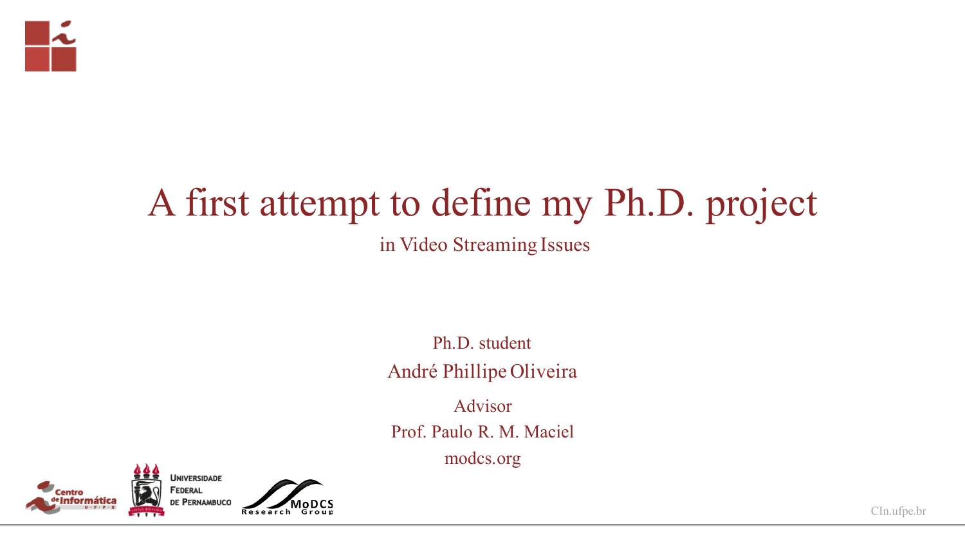

## A first attempt to define my Ph.D. project in Video Streaming Issues

Ph.D. student André Phillipe Oliveira

Advisor

Prof. Paulo R. M. Maciel

modcs.org



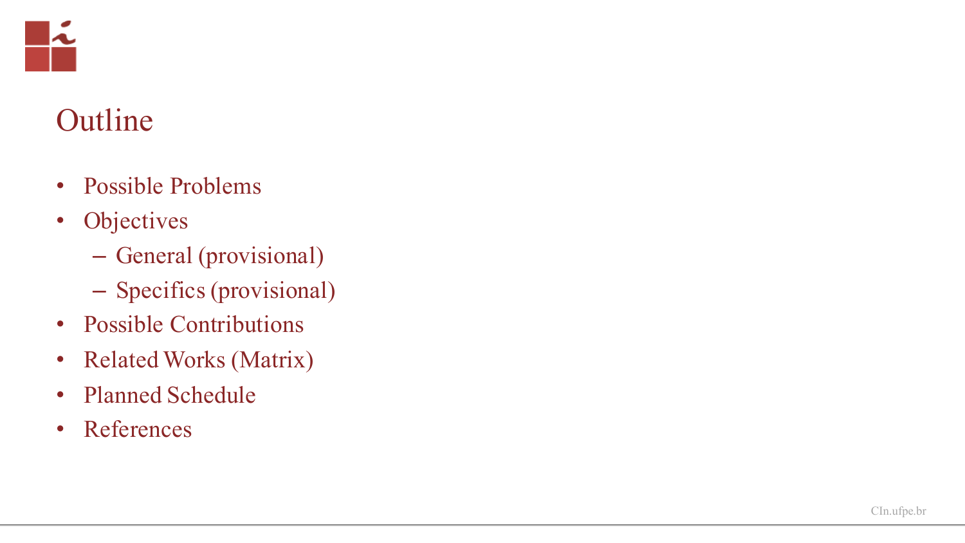

### Outline

- Possible Problems
- Objectives
	- General (provisional )
	- Specifics (provisional)
- Possible Contributions
- Related Works (Matrix)
- Planned Schedule
- References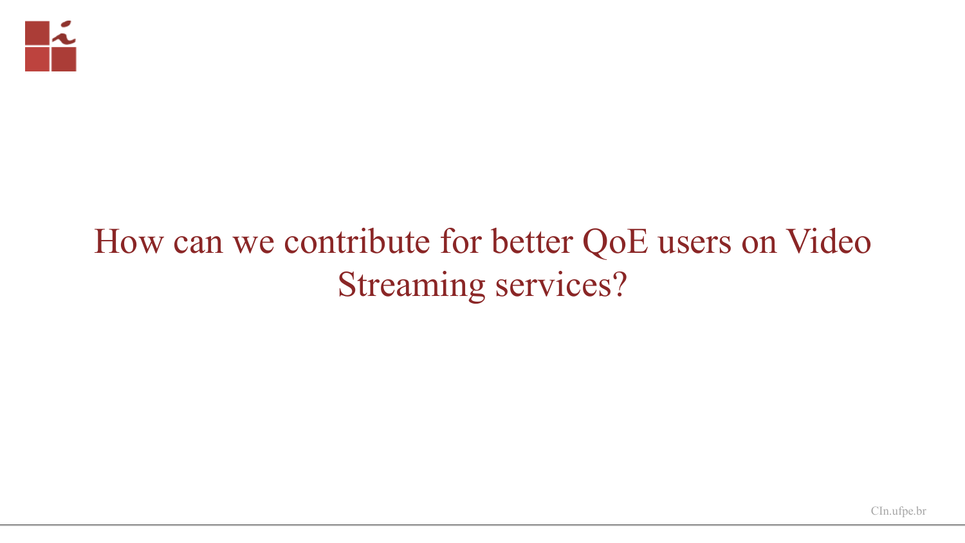

# How can we contribute for better QoE users on Video Streaming services?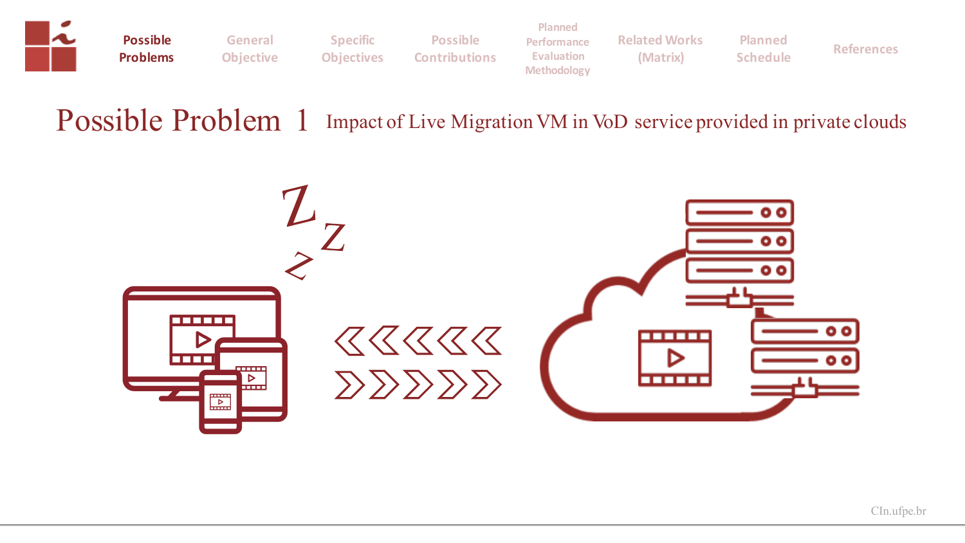

**General Objective**

**Possible Problems**

**Specific Objectives**

**Possible Contributions**

**Planned Performance Evaluation Methodology**

**Related Works (Matrix)**

**Planned** 

**Schedule References**

#### Possible Problem 1 Impact of Live Migration VM in VoD service provided in private clouds

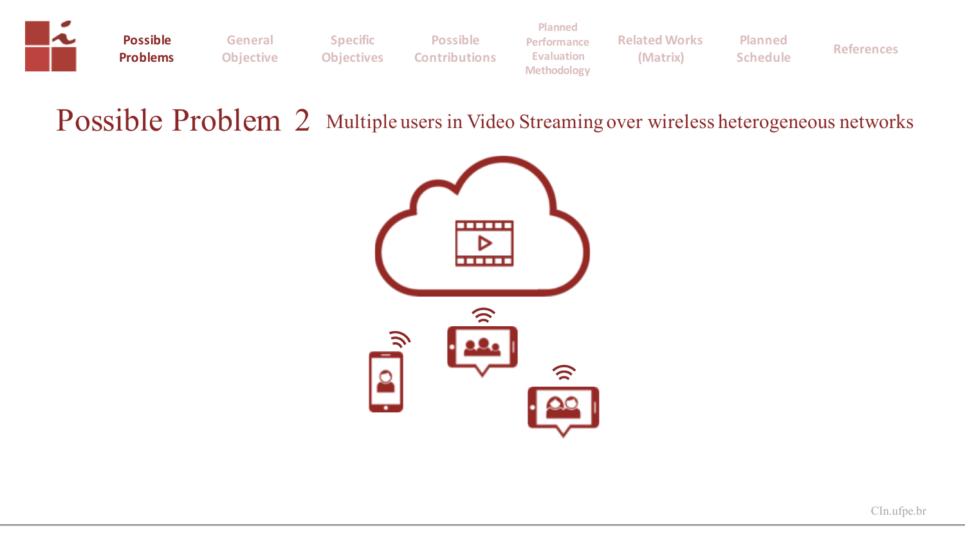

**Possible Problems**

**General Objective**

**Specific Objectives Contributions**

**Planned Performance Evaluation Methodology**

**Related Works (Matrix)**

**Planned** 

**Schedule References**

#### Possible Problem 2 Multiple users in Video Streaming over wireless heterogeneous networks

**Possible** 

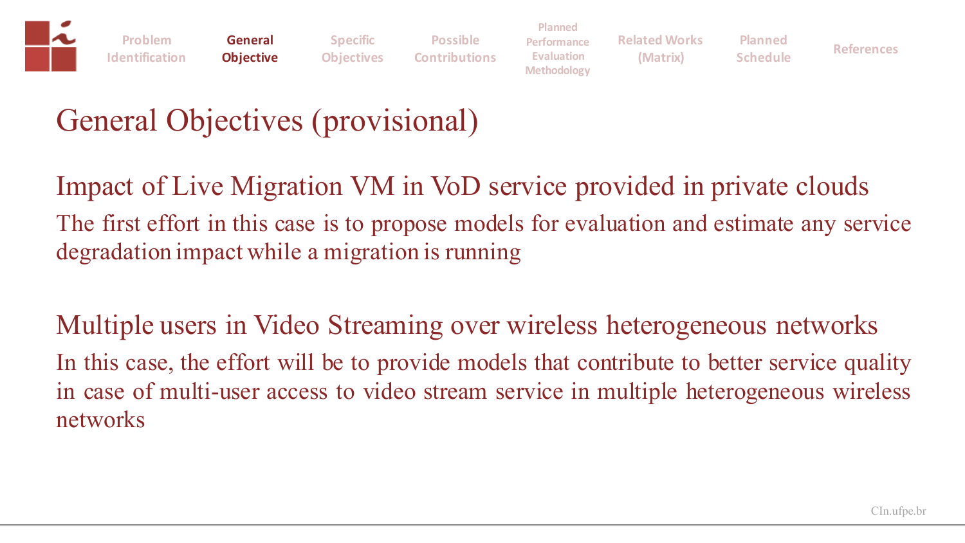

**General Objective**

**Specific Objectives Possible Contributions**

**Planned Performance Evaluation Methodology**

**Related Works (Matrix)**

**Planned** 

**Schedule References**

## General Objectives (provisional)

Impact of Live Migration VM in VoD service provided in private clouds The first effort in this case is to propose models for evaluation and estimate any service degradation impact while a migration is running

Multiple users in Video Streaming over wireless heterogeneous networks In this case, the effort will be to provide models that contribute to better service quality in case of multi-user access to video stream service in multiple heterogeneous wireless networks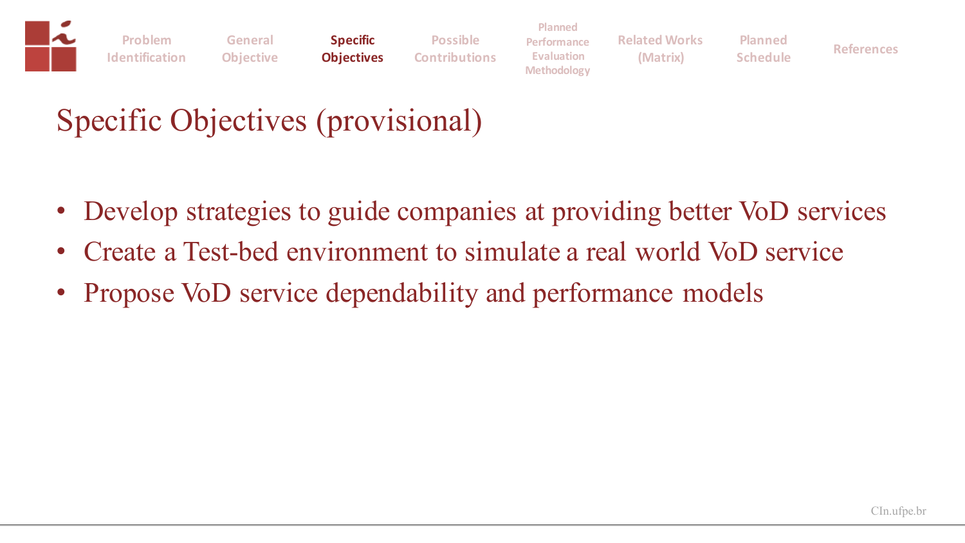

### Specific Objectives (provisional)

- Develop strategies to guide companies at providing better VoD services
- Create a Test-bed environment to simulate a real world VoD service
- Propose VoD service dependability and performance models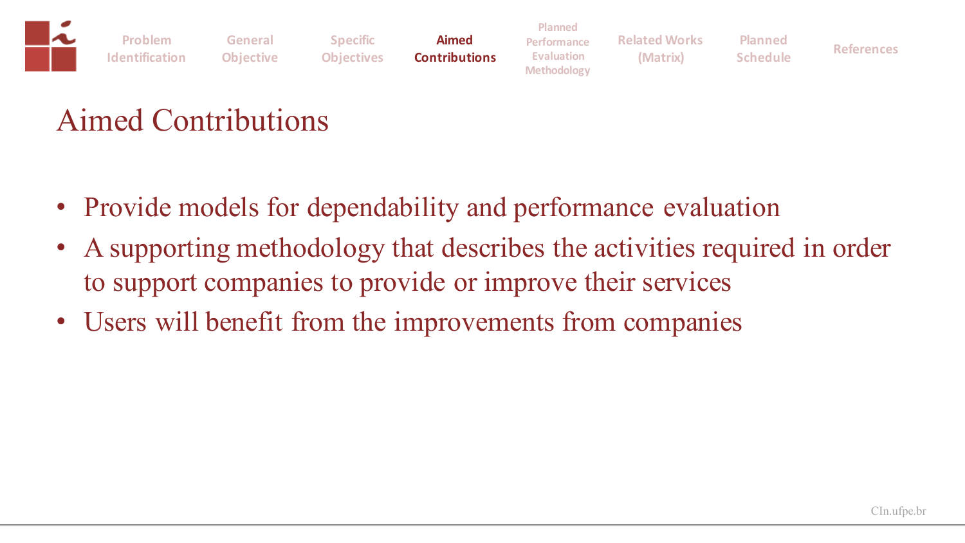|                                 |         |                   |                      | <b>Planned</b>     |                      |                 |                   |
|---------------------------------|---------|-------------------|----------------------|--------------------|----------------------|-----------------|-------------------|
| Problem                         | General | <b>Specific</b>   | <b>Aimed</b>         | Performance        | <b>Related Works</b> | <b>Planned</b>  |                   |
| <b>Identification Objective</b> |         | <b>Objectives</b> | <b>Contributions</b> | <b>Evaluation</b>  | (Matrix)             | <b>Schedule</b> | <b>References</b> |
|                                 |         |                   |                      | <b>Methodology</b> |                      |                 |                   |

### Aimed Contributions

- Provide models for dependability and performance evaluation
- A supporting methodology that describes the activities required in order to support companies to provide or improve their services
- Users will benefit from the improvements from companies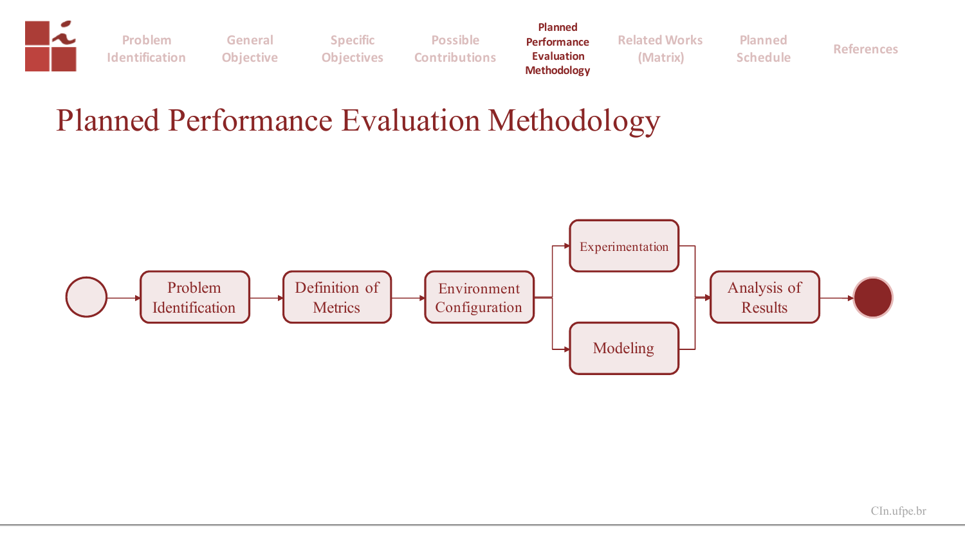

#### Planned Performance Evaluation Methodology

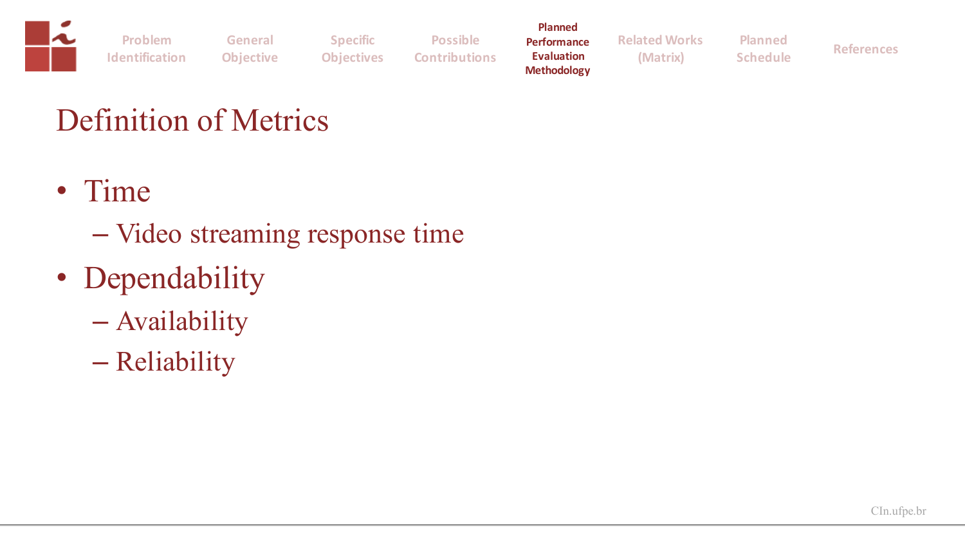|                       |                  |                   |                      | <b>Planned</b>                          |                      |                 |                   |
|-----------------------|------------------|-------------------|----------------------|-----------------------------------------|----------------------|-----------------|-------------------|
| <b>Problem</b>        | General          | <b>Specific</b>   | <b>Possible</b>      | Performance                             | <b>Related Works</b> | <b>Planned</b>  |                   |
| <b>Identification</b> | <b>Objective</b> | <b>Objectives</b> | <b>Contributions</b> | <b>Evaluation</b><br><b>Methodology</b> | (Matrix)             | <b>Schedule</b> | <b>References</b> |

### Definition of Metrics

- Time
	- Video streaming response time
- Dependability
	- Availability
	- Reliability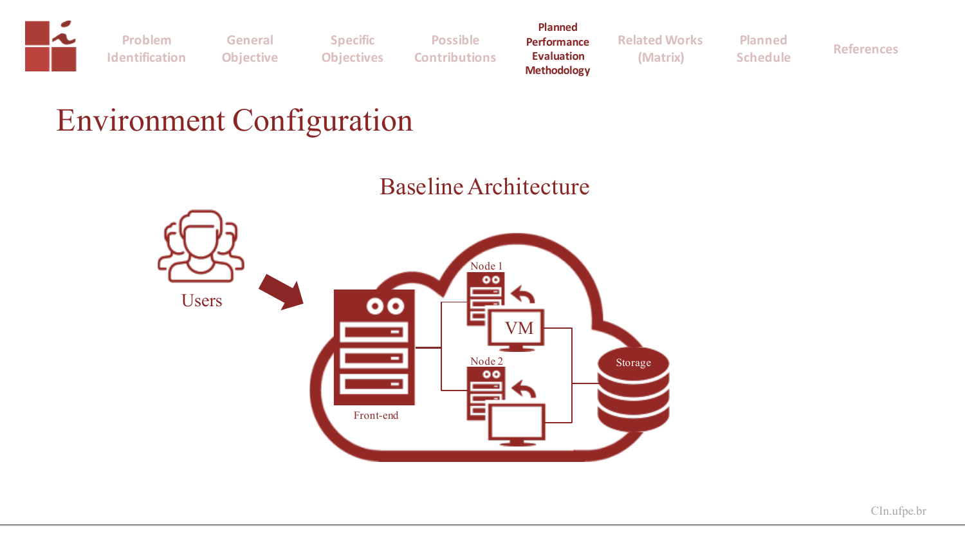

**General Objective**

**Specific Objectives Possible Contributions**

**Planned Performance Evaluation Methodology**

**Related Works (Matrix)**

**Schedule References**

**Planned** 

### Environment Configuration

#### Baseline Architecture

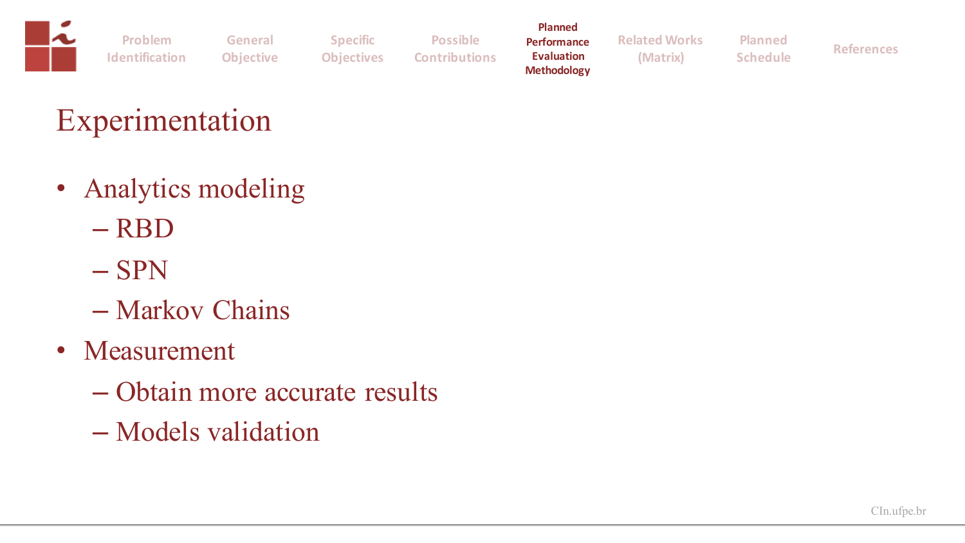

### Experimentation

- Analytics modeling
	- RBD
	- SPN
	- Markov Chains
- Measurement
	- Obtain more accurate results
	- Models validation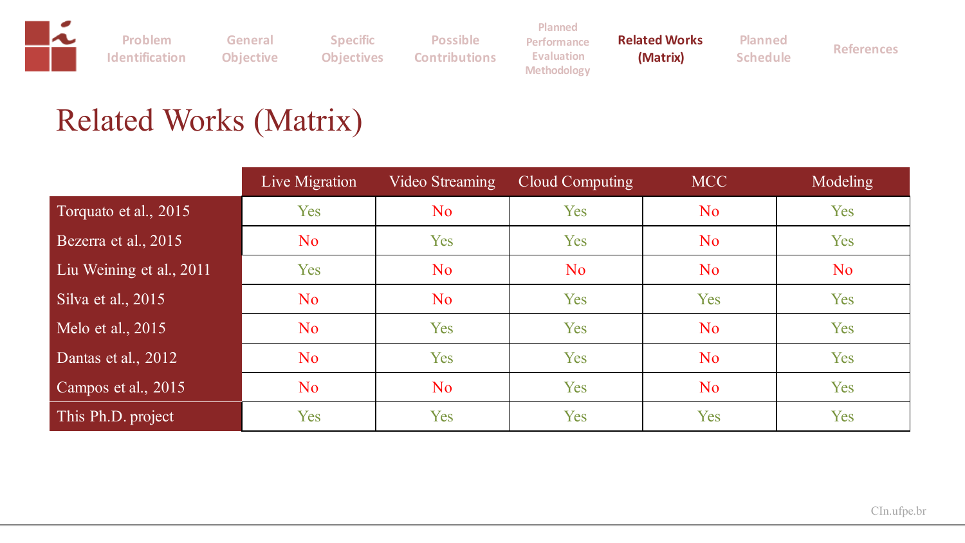

### Related Works (Matrix)

|                          | Live Migration | Video Streaming | Cloud Computing | <b>MCC</b>     | <b>Modeling</b> |
|--------------------------|----------------|-----------------|-----------------|----------------|-----------------|
| Torquato et al., 2015    | Yes            | N <sub>o</sub>  | Yes             | N <sub>o</sub> | Yes             |
| Bezerra et al., 2015     | N <sub>o</sub> | Yes             | Yes             | N <sub>o</sub> | Yes             |
| Liu Weining et al., 2011 | Yes            | N <sub>o</sub>  | N <sub>o</sub>  | N <sub>o</sub> | N <sub>o</sub>  |
| Silva et al., 2015       | N <sub>o</sub> | N <sub>o</sub>  | Yes             | Yes            | Yes             |
| Melo et al., 2015        | N <sub>o</sub> | Yes             | Yes             | N <sub>o</sub> | Yes             |
| Dantas et al., 2012      | N <sub>o</sub> | Yes             | Yes             | N <sub>o</sub> | Yes             |
| Campos et al., 2015      | N <sub>o</sub> | N <sub>o</sub>  | Yes             | N <sub>o</sub> | Yes             |
| This Ph.D. project       | Yes            | Yes             | Yes             | Yes            | Yes             |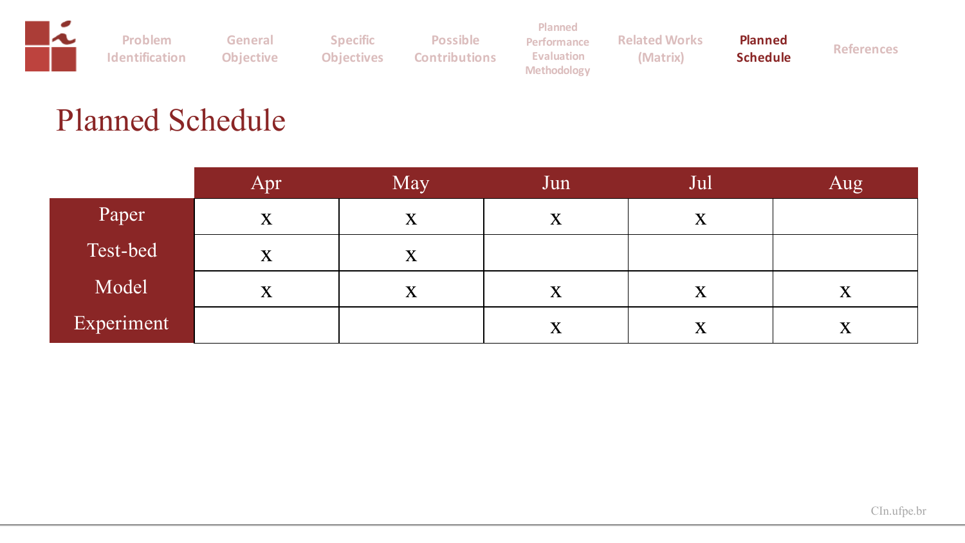|                       |                  |                   |                      | <b>Planned</b>     |                      |                |                   |
|-----------------------|------------------|-------------------|----------------------|--------------------|----------------------|----------------|-------------------|
| <b>Problem</b>        | General          | <b>Specific</b>   | <b>Possible</b>      | Performance        | <b>Related Works</b> | <b>Planned</b> |                   |
| <b>Identification</b> | <b>Objective</b> | <b>Objectives</b> | <b>Contributions</b> | Evaluation         | (Matrix)             | Schedule       | <b>References</b> |
|                       |                  |                   |                      | <b>Methodology</b> |                      |                |                   |

### Planned Schedule

|            | Apr | May         | Jun                     | Jul         | Aug                       |
|------------|-----|-------------|-------------------------|-------------|---------------------------|
| Paper      | X   | X           | $\overline{\textbf{X}}$ | $\mathbf X$ |                           |
| Test-bed   | X   | $\mathbf X$ |                         |             |                           |
| Model      | X   | X           | X                       | X           | $\boldsymbol{\mathrm{X}}$ |
| Experiment |     |             | X                       | X           | $\bf X$                   |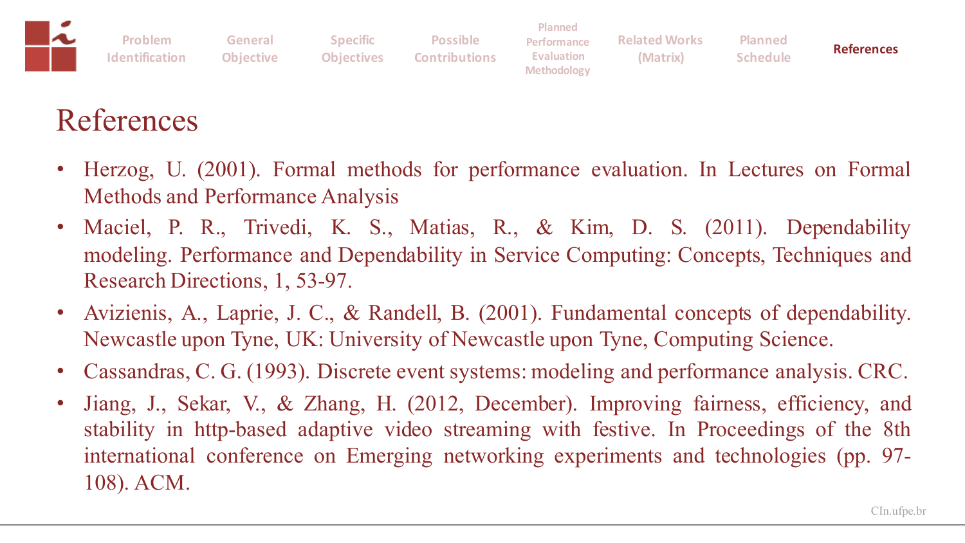| ∼ | Problem                         | General | <b>Specific</b> | <b>Possible</b>                 | <b>Planned</b><br><b>Performance</b> | <b>Related Works</b> | <b>Planned</b>  |                   |
|---|---------------------------------|---------|-----------------|---------------------------------|--------------------------------------|----------------------|-----------------|-------------------|
|   | <b>Identification</b> Objective |         |                 | <b>Objectives Contributions</b> | Evaluation<br><b>Methodology</b>     | (Matrix)             | <b>Schedule</b> | <b>References</b> |

### References

- Herzog, U. (2001). Formal methods for performance evaluation. In Lectures on Formal Methods and Performance Analysis
- Maciel, P. R., Trivedi, K. S., Matias, R., & Kim, D. S. (2011). Dependability modeling. Performance and Dependability in Service Computing: Concepts, Techniques and Research Directions, 1, 53-97.
- Avizienis, A., Laprie, J. C., & Randell, B. (2001). Fundamental concepts of dependability. Newcastle upon Tyne, UK: University of Newcastle upon Tyne, Computing Science.
- Cassandras, C. G. (1993). Discrete event systems: modeling and performance analysis. CRC.
- Jiang, J., Sekar, V., & Zhang, H. (2012, December). Improving fairness, efficiency, and stability in http-based adaptive video streaming with festive. In Proceedings of the 8th international conference on Emerging networking experiments and technologies (pp. 97- 108). ACM.